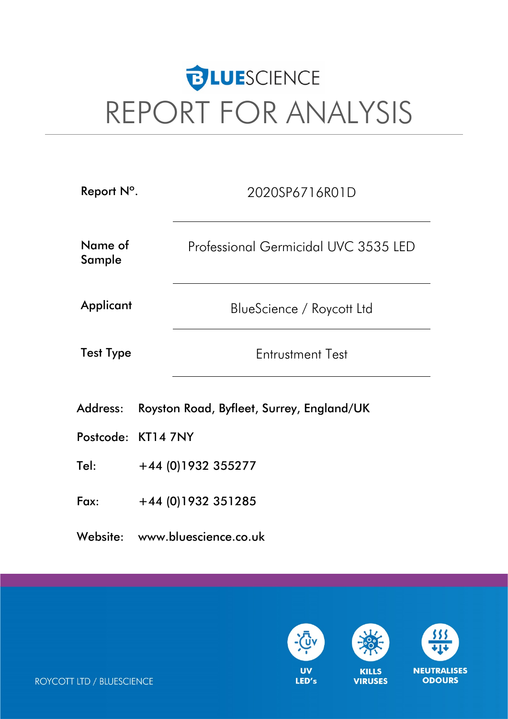# **BLUE**SCIENCE REPORT FOR ANALYSIS

| Report N°.        |                                           | 2020SP6716R01D                       |  |  |  |  |  |
|-------------------|-------------------------------------------|--------------------------------------|--|--|--|--|--|
| Name of<br>Sample |                                           | Professional Germicidal UVC 3535 LED |  |  |  |  |  |
| Applicant         |                                           | BlueScience / Roycott Ltd            |  |  |  |  |  |
| <b>Test Type</b>  |                                           | <b>Entrustment Test</b>              |  |  |  |  |  |
| Address:          | Royston Road, Byfleet, Surrey, England/UK |                                      |  |  |  |  |  |
|                   | Postcode: KT14 7NY                        |                                      |  |  |  |  |  |
| Tel:              | +44 (0)1932 355277                        |                                      |  |  |  |  |  |
| Fax:              | $+44$ (0)1932 351285                      |                                      |  |  |  |  |  |

Website: www.bluescience.co.uk



**NEUTRALISES ODOURS** 

ROYCOTT LTD / BLUESCIENCE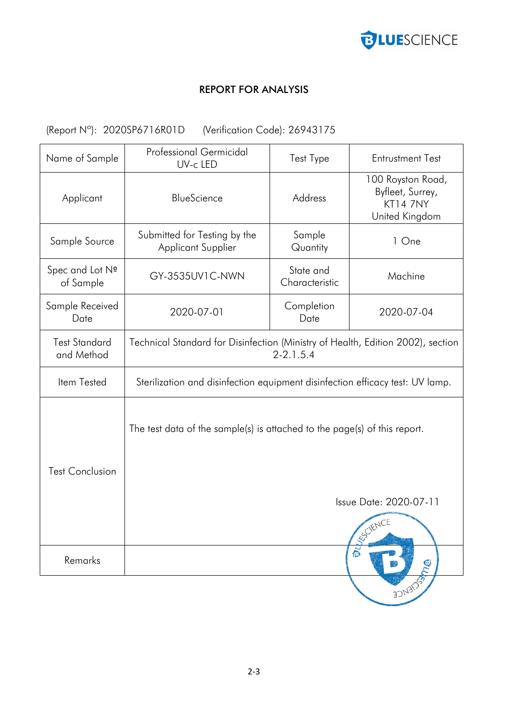

## REPORT FOR ANALYSIS

## (Report Nº): 2020SP6716R01D (Verification Code): 26943175

| Name of Sample                     | Professional Germicidal<br>UV-c LED                                                                             | Test Type                   | <b>Entrustment Test</b>                                                    |  |  |  |  |
|------------------------------------|-----------------------------------------------------------------------------------------------------------------|-----------------------------|----------------------------------------------------------------------------|--|--|--|--|
| Applicant                          | BlueScience                                                                                                     | Address                     | 100 Royston Road,<br>Byfleet, Surrey,<br><b>KT14 7NY</b><br>United Kingdom |  |  |  |  |
| Sample Source                      | Submitted for Testing by the<br><b>Applicant Supplier</b>                                                       | Sample<br>Quantity          | 1 One                                                                      |  |  |  |  |
| Spec and Lot Nº<br>of Sample       | GY-3535UV1C-NWN                                                                                                 | State and<br>Characteristic | Machine                                                                    |  |  |  |  |
| Sample Received<br>Date            | 2020-07-01                                                                                                      | Completion<br>Date          | 2020-07-04                                                                 |  |  |  |  |
| <b>Test Standard</b><br>and Method | Technical Standard for Disinfection (Ministry of Health, Edition 2002), section<br>$2 - 2.1.5.4$                |                             |                                                                            |  |  |  |  |
| Item Tested                        | Sterilization and disinfection equipment disinfection efficacy test: UV lamp.                                   |                             |                                                                            |  |  |  |  |
| <b>Test Conclusion</b>             | The test data of the sample(s) is attached to the page(s) of this report.<br>Issue Date: 2020-07-11<br>ESCIENCE |                             |                                                                            |  |  |  |  |
| Remarks                            | $\vec{D}$                                                                                                       |                             |                                                                            |  |  |  |  |
|                                    |                                                                                                                 |                             | <b>FONTION</b>                                                             |  |  |  |  |